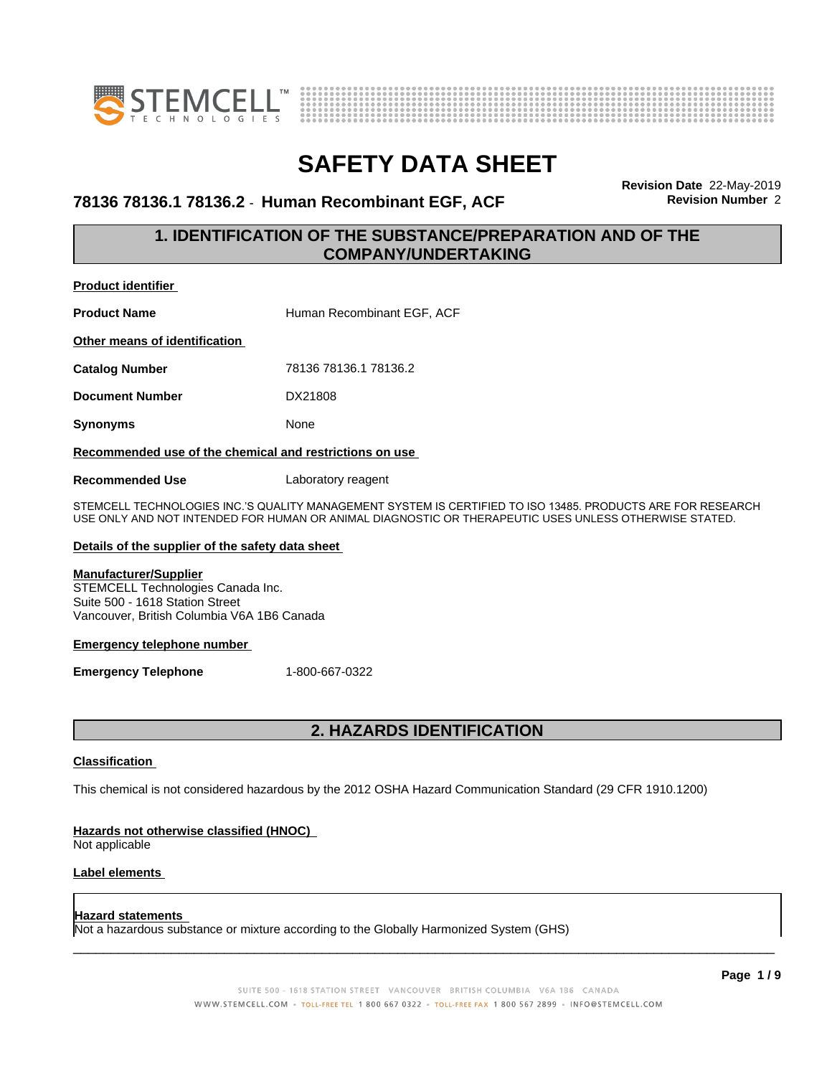



### **78136 78136.1 78136.2** - **Human Recombinant EGF, ACF Revision Number** 2

**Revision Date** 22-May-2019

### **1. IDENTIFICATION OF THE SUBSTANCE/PREPARATION AND OF THE COMPANY/UNDERTAKING**

**Product identifier**

**Product Name Human Recombinant EGF, ACF** 

**Other means of identification**

**Catalog Number** 78136 78136.1 78136.2

**Document Number** DX21808

**Synonyms** None

### **Recommended use of the chemical and restrictions on use**

**Recommended Use** Laboratory reagent

STEMCELL TECHNOLOGIES INC.'S QUALITY MANAGEMENT SYSTEM IS CERTIFIED TO ISO 13485. PRODUCTS ARE FOR RESEARCH USE ONLY AND NOT INTENDED FOR HUMAN OR ANIMAL DIAGNOSTIC OR THERAPEUTIC USES UNLESS OTHERWISE STATED.

#### **Details of the supplier of the safety data sheet**

### **Manufacturer/Supplier**

STEMCELL Technologies Canada Inc. Suite 500 - 1618 Station Street Vancouver, British Columbia V6A 1B6 Canada

#### **Emergency telephone number**

**Emergency Telephone** 1-800-667-0322

### **2. HAZARDS IDENTIFICATION**

### **Classification**

This chemical is not considered hazardous by the 2012 OSHA Hazard Communication Standard (29 CFR 1910.1200)

#### **Hazards not otherwise classified (HNOC)**

Not applicable

### **Label elements**

#### **Hazard statements**

Not a hazardous substance or mixture according to the Globally Harmonized System (GHS)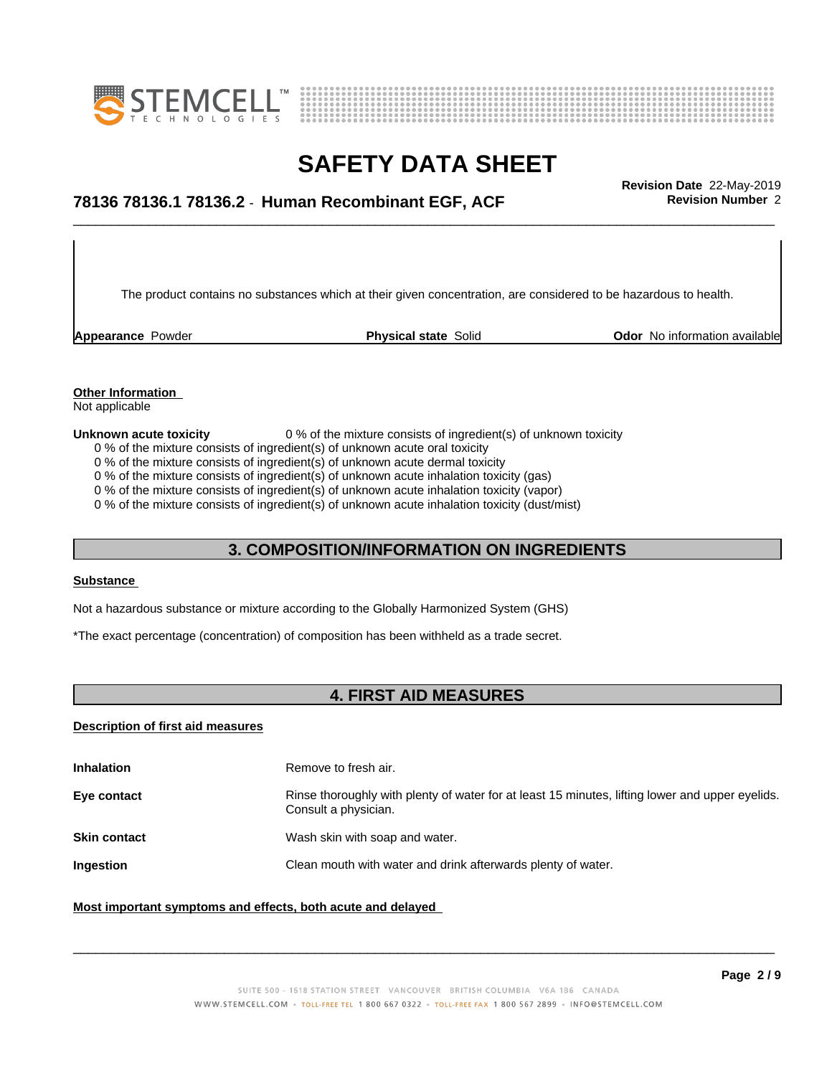



## \_\_\_\_\_\_\_\_\_\_\_\_\_\_\_\_\_\_\_\_\_\_\_\_\_\_\_\_\_\_\_\_\_\_\_\_\_\_\_\_\_\_\_\_\_\_\_\_\_\_\_\_\_\_\_\_\_\_\_\_\_\_\_\_\_\_\_\_\_\_\_\_\_\_\_\_\_\_\_\_\_\_\_\_\_\_\_\_\_\_\_\_\_ **Revision Date** 22-May-2019 **78136 78136.1 78136.2** - **Human Recombinant EGF, ACF Revision Number** 2

The product contains no substances which at their given concentration, are considered to be hazardous to health.

**Appearance** Powder **Physical state** Solid **Physical Solid Physical Solid Physical Solid Physical Solid Physical Solid Physical Solid Physical Solid Physical Solid Physical Solid Physical Solid Physical** 

### **Other Information**

Not applicable

#### **Unknown acute toxicity** 0 % of the mixture consists of ingredient(s) of unknown toxicity

0 % of the mixture consists of ingredient(s) of unknown acute oral toxicity

0 % of the mixture consists of ingredient(s) of unknown acute dermal toxicity

0 % of the mixture consists of ingredient(s) of unknown acute inhalation toxicity (gas)

0 % of the mixture consists of ingredient(s) of unknown acute inhalation toxicity (vapor)

0 % of the mixture consists of ingredient(s) of unknown acute inhalation toxicity (dust/mist)

### **3. COMPOSITION/INFORMATION ON INGREDIENTS**

#### **Substance**

Not a hazardous substance or mixture according to the Globally Harmonized System (GHS)

\*The exact percentage (concentration) of composition has been withheld as a trade secret.

### **4. FIRST AID MEASURES**

### **Description of first aid measures**

| <b>Inhalation</b>   | Remove to fresh air.                                                                                                    |
|---------------------|-------------------------------------------------------------------------------------------------------------------------|
| Eye contact         | Rinse thoroughly with plenty of water for at least 15 minutes, lifting lower and upper eyelids.<br>Consult a physician. |
| <b>Skin contact</b> | Wash skin with soap and water.                                                                                          |
| Ingestion           | Clean mouth with water and drink afterwards plenty of water.                                                            |
|                     |                                                                                                                         |

### **Most important symptoms and effects, both acute and delayed**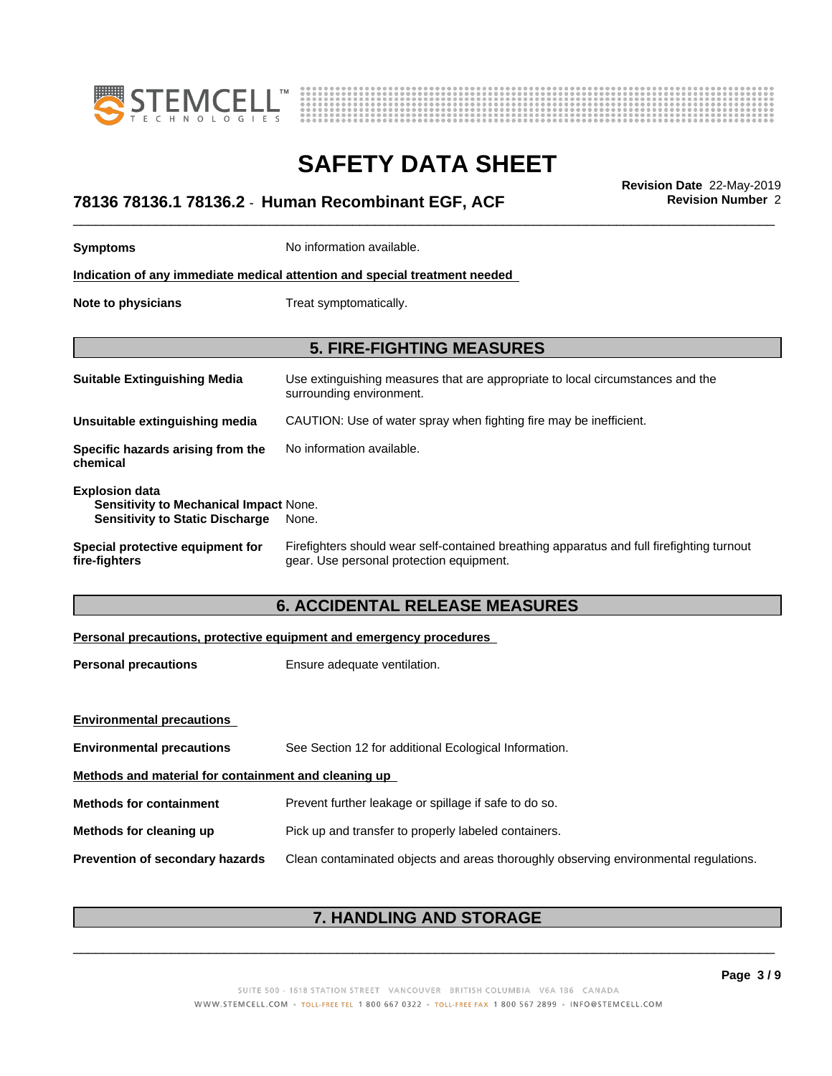



## \_\_\_\_\_\_\_\_\_\_\_\_\_\_\_\_\_\_\_\_\_\_\_\_\_\_\_\_\_\_\_\_\_\_\_\_\_\_\_\_\_\_\_\_\_\_\_\_\_\_\_\_\_\_\_\_\_\_\_\_\_\_\_\_\_\_\_\_\_\_\_\_\_\_\_\_\_\_\_\_\_\_\_\_\_\_\_\_\_\_\_\_\_ **Revision Date** 22-May-2019 **78136 78136.1 78136.2** - **Human Recombinant EGF, ACF Revision Number** 2

| <b>Symptoms</b>                                                                                           | No information available.                                                                                                             |  |  |
|-----------------------------------------------------------------------------------------------------------|---------------------------------------------------------------------------------------------------------------------------------------|--|--|
| Indication of any immediate medical attention and special treatment needed                                |                                                                                                                                       |  |  |
| Note to physicians                                                                                        | Treat symptomatically.                                                                                                                |  |  |
| <b>5. FIRE-FIGHTING MEASURES</b>                                                                          |                                                                                                                                       |  |  |
| <b>Suitable Extinguishing Media</b>                                                                       | Use extinguishing measures that are appropriate to local circumstances and the<br>surrounding environment.                            |  |  |
| Unsuitable extinguishing media                                                                            | CAUTION: Use of water spray when fighting fire may be inefficient.                                                                    |  |  |
| Specific hazards arising from the<br>chemical                                                             | No information available.                                                                                                             |  |  |
| <b>Explosion data</b><br>Sensitivity to Mechanical Impact None.<br><b>Sensitivity to Static Discharge</b> | None.                                                                                                                                 |  |  |
| Special protective equipment for<br>fire-fighters                                                         | Firefighters should wear self-contained breathing apparatus and full firefighting turnout<br>gear. Use personal protection equipment. |  |  |
| <b>6. ACCIDENTAL RELEASE MEASURES</b>                                                                     |                                                                                                                                       |  |  |
|                                                                                                           | Personal precautions, protective equipment and emergency procedures                                                                   |  |  |
| <b>Personal precautions</b>                                                                               | Ensure adequate ventilation.                                                                                                          |  |  |

| <b>Environmental precautions</b>                     |                                                                                      |  |
|------------------------------------------------------|--------------------------------------------------------------------------------------|--|
| <b>Environmental precautions</b>                     | See Section 12 for additional Ecological Information.                                |  |
| Methods and material for containment and cleaning up |                                                                                      |  |
| <b>Methods for containment</b>                       | Prevent further leakage or spillage if safe to do so.                                |  |
| Methods for cleaning up                              | Pick up and transfer to properly labeled containers.                                 |  |
| <b>Prevention of secondary hazards</b>               | Clean contaminated objects and areas thoroughly observing environmental regulations. |  |

### **7. HANDLING AND STORAGE**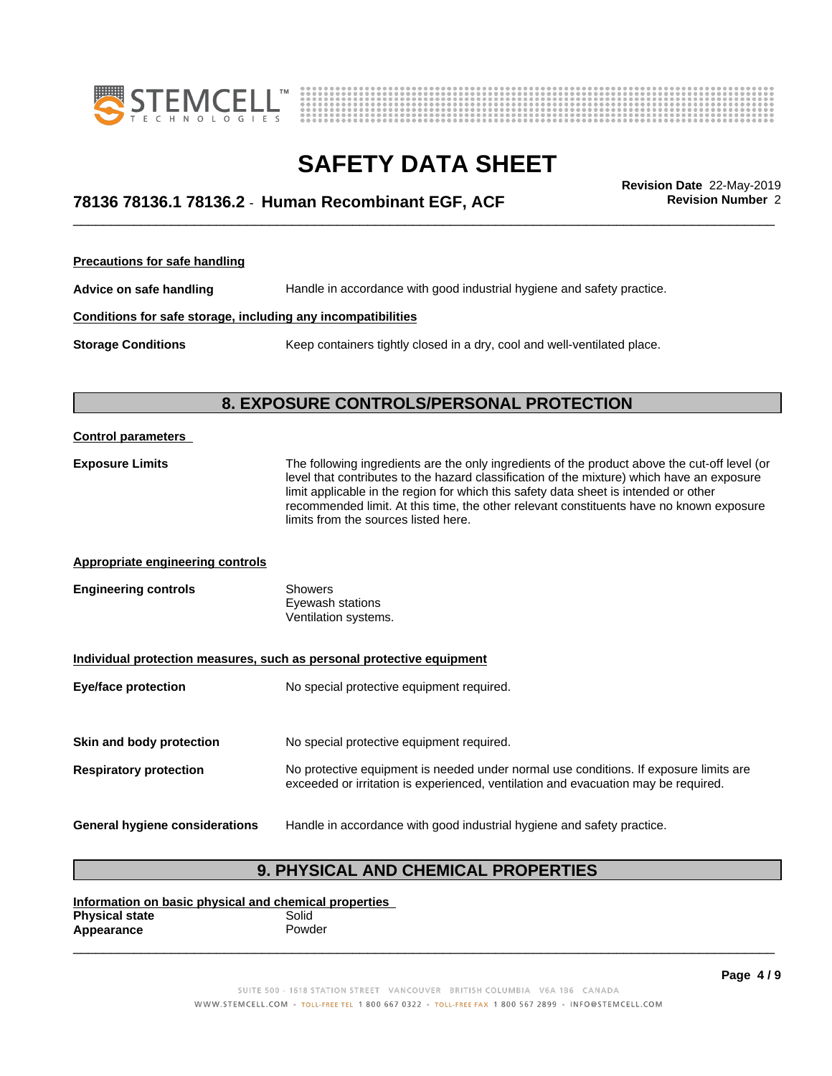



## \_\_\_\_\_\_\_\_\_\_\_\_\_\_\_\_\_\_\_\_\_\_\_\_\_\_\_\_\_\_\_\_\_\_\_\_\_\_\_\_\_\_\_\_\_\_\_\_\_\_\_\_\_\_\_\_\_\_\_\_\_\_\_\_\_\_\_\_\_\_\_\_\_\_\_\_\_\_\_\_\_\_\_\_\_\_\_\_\_\_\_\_\_ **Revision Date** 22-May-2019 **78136 78136.1 78136.2** - **Human Recombinant EGF, ACF Revision Number** 2

**Precautions for safe handling Advice on safe handling** Handle in accordance with good industrial hygiene and safety practice. **Conditions for safe storage, including any incompatibilities Storage Conditions** Keep containers tightly closed in a dry, cool and well-ventilated place.

### **8. EXPOSURE CONTROLS/PERSONAL PROTECTION**

| <b>Control parameters</b>               |                                                                                                                                                                                                                                                                                                                                                                                                                        |  |
|-----------------------------------------|------------------------------------------------------------------------------------------------------------------------------------------------------------------------------------------------------------------------------------------------------------------------------------------------------------------------------------------------------------------------------------------------------------------------|--|
| <b>Exposure Limits</b>                  | The following ingredients are the only ingredients of the product above the cut-off level (or<br>level that contributes to the hazard classification of the mixture) which have an exposure<br>limit applicable in the region for which this safety data sheet is intended or other<br>recommended limit. At this time, the other relevant constituents have no known exposure<br>limits from the sources listed here. |  |
| <b>Appropriate engineering controls</b> |                                                                                                                                                                                                                                                                                                                                                                                                                        |  |
| <b>Engineering controls</b>             | <b>Showers</b><br>Eyewash stations<br>Ventilation systems.                                                                                                                                                                                                                                                                                                                                                             |  |
|                                         | Individual protection measures, such as personal protective equipment                                                                                                                                                                                                                                                                                                                                                  |  |
| <b>Eye/face protection</b>              | No special protective equipment required.                                                                                                                                                                                                                                                                                                                                                                              |  |
| Skin and body protection                | No special protective equipment required.                                                                                                                                                                                                                                                                                                                                                                              |  |
| <b>Respiratory protection</b>           | No protective equipment is needed under normal use conditions. If exposure limits are<br>exceeded or irritation is experienced, ventilation and evacuation may be required.                                                                                                                                                                                                                                            |  |
| General hygiene considerations          | Handle in accordance with good industrial hygiene and safety practice.                                                                                                                                                                                                                                                                                                                                                 |  |

### **9. PHYSICAL AND CHEMICAL PROPERTIES**

**Information on basic physical and chemical properties Physical state** Solid<br> **Appearance** Solid Powder **Appearance** 

> SUITE 500 - 1618 STATION STREET VANCOUVER BRITISH COLUMBIA V6A 1B6 CANADA WWW.STEMCELL.COM • TOLL-FREE TEL 1 800 667 0322 • TOLL-FREE FAX 1 800 567 2899 • INFO@STEMCELL.COM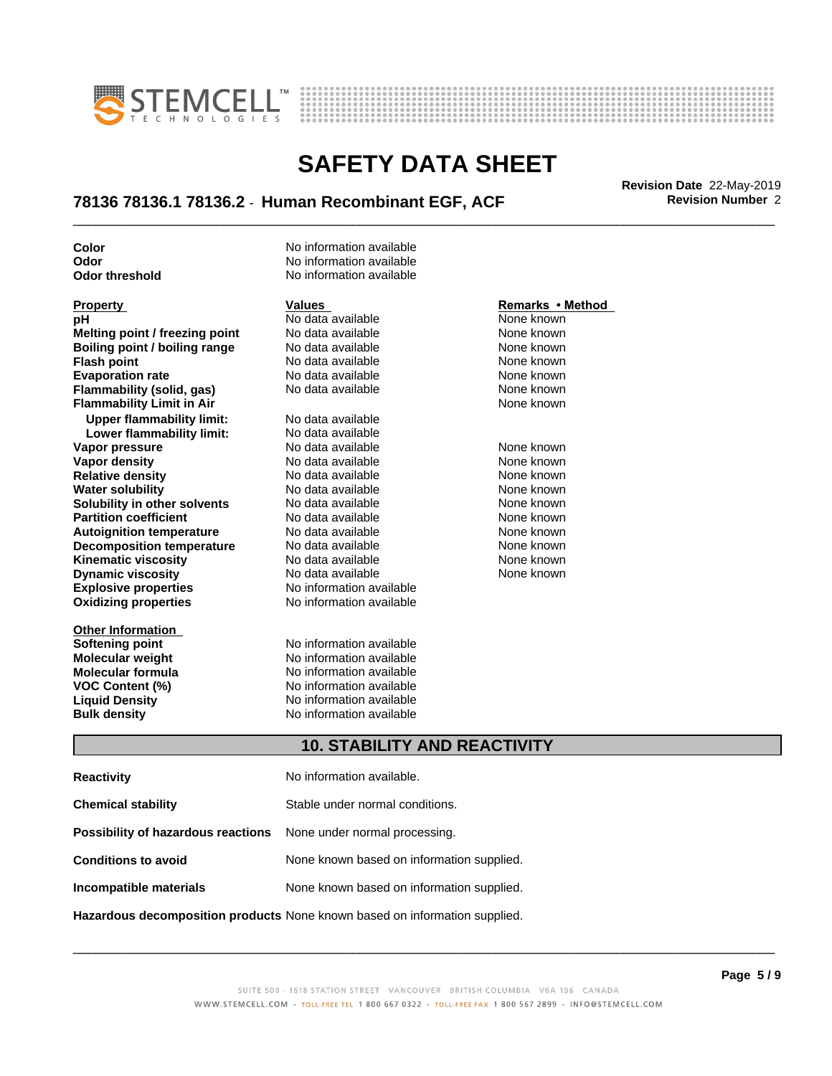



## \_\_\_\_\_\_\_\_\_\_\_\_\_\_\_\_\_\_\_\_\_\_\_\_\_\_\_\_\_\_\_\_\_\_\_\_\_\_\_\_\_\_\_\_\_\_\_\_\_\_\_\_\_\_\_\_\_\_\_\_\_\_\_\_\_\_\_\_\_\_\_\_\_\_\_\_\_\_\_\_\_\_\_\_\_\_\_\_\_\_\_\_\_ **Revision Date** 22-May-2019 **78136 78136.1 78136.2** - **Human Recombinant EGF, ACF Revision Number** 2

**Color** No information available

**Explosive properties** No information available **Oxidizing properties** No information available **Property Remarks • Method Values Values Remarks • Method <b>Remarks • Method pH Remarks** • **Method pH Remarks** • **Method pH** No data available<br> **Melting point / freezing point** No data available **Melting point / freezing point** No data available None known **Boiling point / boiling range No data available None known Flash point** No data available None known **Evaporation rate Reserve State State Additional None Convention Cone Control of the None known**<br> **Flammability (solid. gas)** No data available **None Known Flammability (solid, gas)** No data available None known<br> **Flammability Limit in Air** None Known **Flammability Limit in Air Upper flammability limit:** No data available **Lower flammability limit:** No data available **Vapor pressure No data available and the None known**<br> **Vapor density No data available None known**<br>
No data available **None known Vapor density**<br> **Vapor density**<br> **Relative density**<br>
None known<br>
None known **Relative density No data available None known**<br> **Water solubility No data available None known**<br>
No data available **Water solubility <br>
<b>Water solubility n** other **solvents** Modata available **None known**<br>
None known **Solubility in other solvents** No data available<br> **Partition coefficient** No data available **Partition coefficient**<br> **Autoignition temperature**<br>
No data available None Known None known **Autoignition temperature No data available None known**<br> **Decomposition temperature** No data available **None known**<br>
None known **Decomposition temperature** No data available **None known**<br> **Kinematic viscosity** No data available None known **Kinematic viscosity**<br> **Contains the Containst Contains and Dividing the Contains Property Connect Contains the None known**<br>
No data available Connect None known **Dynamic viscosity** 

**Other Information Softening point No information available**<br> **Molecular weight No information available Molecular weight<br>Molecular formula** 

**Odor** No information available **Odor threshold** No information available

**Molecular formula No information available**<br>**VOC Content (%) No information available VOC Content (%)** No information available **Liquid Density** No information available **Bulk density** No information available

None known

### **10. STABILITY AND REACTIVITY**

| <b>Reactivity</b>                                                       | No information available.                 |
|-------------------------------------------------------------------------|-------------------------------------------|
| <b>Chemical stability</b>                                               | Stable under normal conditions.           |
| <b>Possibility of hazardous reactions</b> None under normal processing. |                                           |
| <b>Conditions to avoid</b>                                              | None known based on information supplied. |
| Incompatible materials                                                  | None known based on information supplied. |
|                                                                         |                                           |

**Hazardous decomposition products** None known based on information supplied.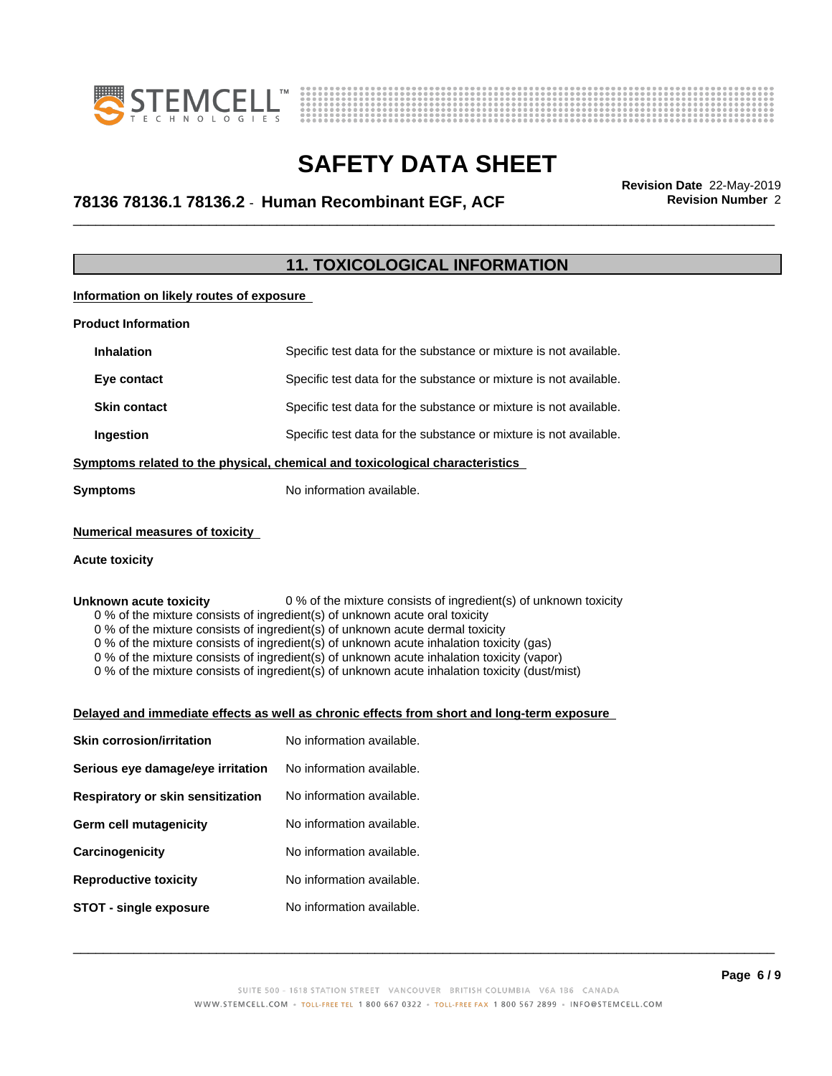



## \_\_\_\_\_\_\_\_\_\_\_\_\_\_\_\_\_\_\_\_\_\_\_\_\_\_\_\_\_\_\_\_\_\_\_\_\_\_\_\_\_\_\_\_\_\_\_\_\_\_\_\_\_\_\_\_\_\_\_\_\_\_\_\_\_\_\_\_\_\_\_\_\_\_\_\_\_\_\_\_\_\_\_\_\_\_\_\_\_\_\_\_\_ **Revision Date** 22-May-2019 **78136 78136.1 78136.2** - **Human Recombinant EGF, ACF Revision Number** 2

### **11. TOXICOLOGICAL INFORMATION**

**Information on likely routes of exposure**

| <b>Product Information</b>                                                   |                                                                   |  |
|------------------------------------------------------------------------------|-------------------------------------------------------------------|--|
| <b>Inhalation</b>                                                            | Specific test data for the substance or mixture is not available. |  |
| Eye contact                                                                  | Specific test data for the substance or mixture is not available. |  |
| <b>Skin contact</b>                                                          | Specific test data for the substance or mixture is not available. |  |
| <b>Ingestion</b>                                                             | Specific test data for the substance or mixture is not available. |  |
| Symptoms related to the physical, chemical and toxicological characteristics |                                                                   |  |
| <b>Symptoms</b>                                                              | No information available.                                         |  |

### **Numerical measures of toxicity**

#### **Acute toxicity**

**Unknown acute toxicity** 0 % of the mixture consists of ingredient(s) of unknown toxicity 0 % of the mixture consists of ingredient(s) of unknown acute oral toxicity

0 % of the mixture consists of ingredient(s) of unknown acute dermal toxicity

0 % of the mixture consists of ingredient(s) of unknown acute inhalation toxicity (gas)

0 % of the mixture consists of ingredient(s) of unknown acute inhalation toxicity (vapor)

0 % of the mixture consists of ingredient(s) of unknown acute inhalation toxicity (dust/mist)

#### **Delayed and immediate effects as well as chronic effects from short and long-term exposure**

| <b>Skin corrosion/irritation</b>  | No information available. |
|-----------------------------------|---------------------------|
| Serious eye damage/eye irritation | No information available. |
| Respiratory or skin sensitization | No information available. |
| Germ cell mutagenicity            | No information available. |
| Carcinogenicity                   | No information available. |
| <b>Reproductive toxicity</b>      | No information available. |
| STOT - single exposure            | No information available. |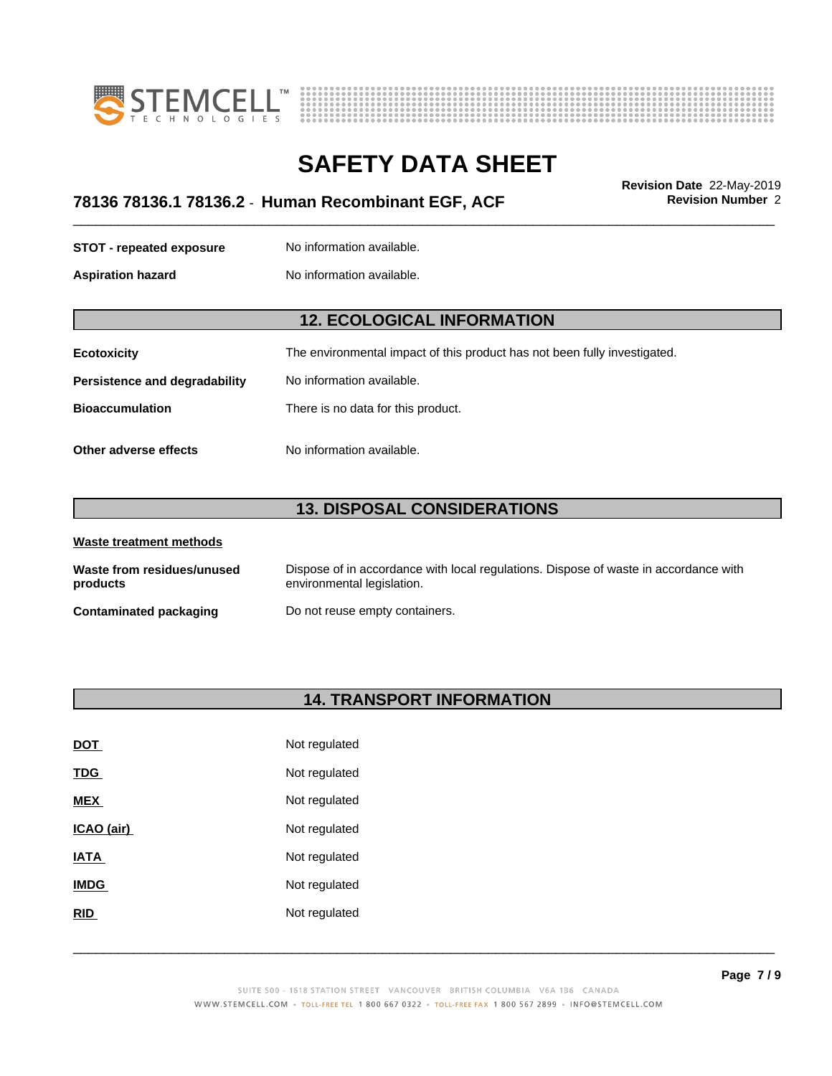



## \_\_\_\_\_\_\_\_\_\_\_\_\_\_\_\_\_\_\_\_\_\_\_\_\_\_\_\_\_\_\_\_\_\_\_\_\_\_\_\_\_\_\_\_\_\_\_\_\_\_\_\_\_\_\_\_\_\_\_\_\_\_\_\_\_\_\_\_\_\_\_\_\_\_\_\_\_\_\_\_\_\_\_\_\_\_\_\_\_\_\_\_\_ **Revision Date** 22-May-2019 **78136 78136.1 78136.2** - **Human Recombinant EGF, ACF Revision Number** 2

**STOT** - **repeated exposure** No information available.

**Aspiration hazard** No information available.

### **12. ECOLOGICAL INFORMATION**

| <b>Ecotoxicity</b> | The environmental impact of this product has not been fully investigated. |
|--------------------|---------------------------------------------------------------------------|
|                    |                                                                           |

**Persistence and degradability** No information available.

**Bioaccumulation** There is no data for this product.

**Other adverse effects** No information available.

### **13. DISPOSAL CONSIDERATIONS**

| Waste treatment methods                |                                                                                                                    |
|----------------------------------------|--------------------------------------------------------------------------------------------------------------------|
| Waste from residues/unused<br>products | Dispose of in accordance with local regulations. Dispose of waste in accordance with<br>environmental legislation. |
| <b>Contaminated packaging</b>          | Do not reuse empty containers.                                                                                     |

### **14. TRANSPORT INFORMATION**

| <u>DOT</u>  | Not regulated |
|-------------|---------------|
| <u>TDG</u>  | Not regulated |
| MEX         | Not regulated |
| ICAO (air)  | Not regulated |
| <b>IATA</b> | Not regulated |
| <b>IMDG</b> | Not regulated |
| RID         | Not regulated |
|             |               |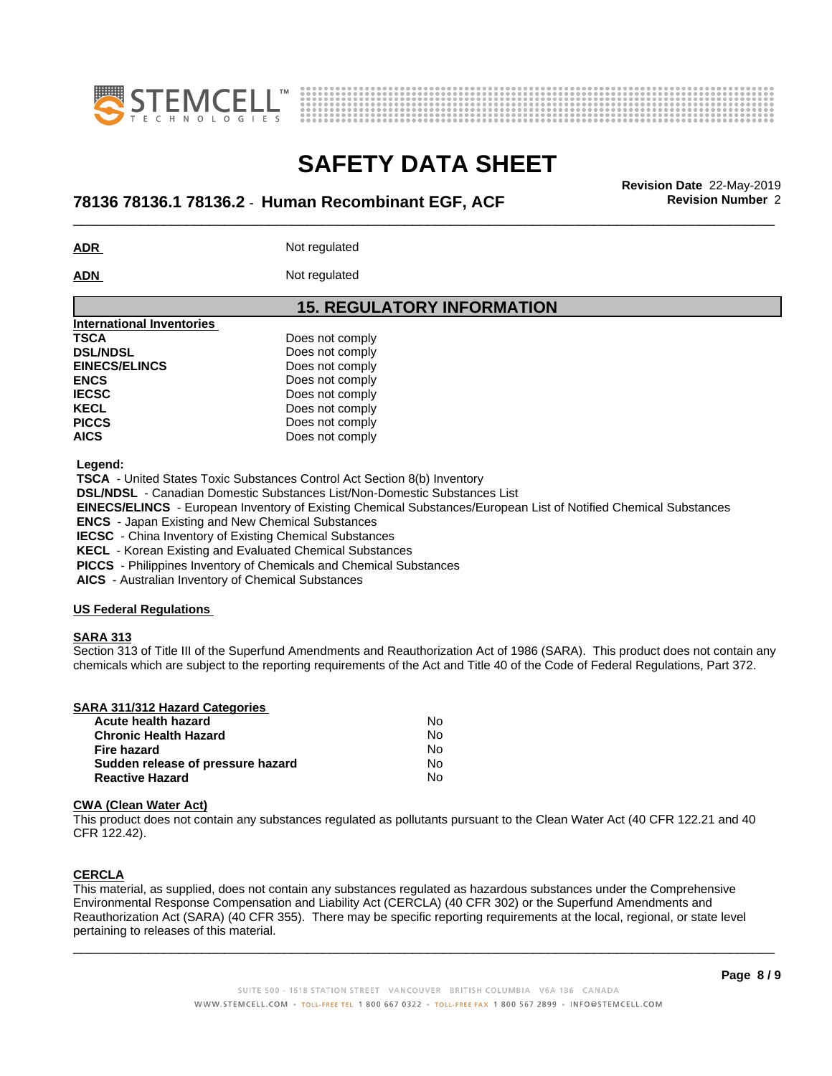



## \_\_\_\_\_\_\_\_\_\_\_\_\_\_\_\_\_\_\_\_\_\_\_\_\_\_\_\_\_\_\_\_\_\_\_\_\_\_\_\_\_\_\_\_\_\_\_\_\_\_\_\_\_\_\_\_\_\_\_\_\_\_\_\_\_\_\_\_\_\_\_\_\_\_\_\_\_\_\_\_\_\_\_\_\_\_\_\_\_\_\_\_\_ **Revision Date** 22-May-2019 **78136 78136.1 78136.2** - **Human Recombinant EGF, ACF Revision Number** 2

**ADR** Not regulated

ADN Not regulated

### **15. REGULATORY INFORMATION**

| International Inventories |                 |  |
|---------------------------|-----------------|--|
| <b>TSCA</b>               | Does not comply |  |
| <b>DSL/NDSL</b>           | Does not comply |  |
| <b>EINECS/ELINCS</b>      | Does not comply |  |
| <b>ENCS</b>               | Does not comply |  |
| <b>IECSC</b>              | Does not comply |  |
| <b>KECL</b>               | Does not comply |  |
| <b>PICCS</b>              | Does not comply |  |
| <b>AICS</b>               | Does not comply |  |
|                           |                 |  |

 **Legend:**

 **TSCA** - United States Toxic Substances Control Act Section 8(b) Inventory

 **DSL/NDSL** - Canadian Domestic Substances List/Non-Domestic Substances List

 **EINECS/ELINCS** - European Inventory of Existing Chemical Substances/European List of Notified Chemical Substances

 **ENCS** - Japan Existing and New Chemical Substances

 **IECSC** - China Inventory of Existing Chemical Substances

 **KECL** - Korean Existing and Evaluated Chemical Substances

 **PICCS** - Philippines Inventory of Chemicals and Chemical Substances

 **AICS** - Australian Inventory of Chemical Substances

#### **US Federal Regulations**

#### **SARA 313**

Section 313 of Title III of the Superfund Amendments and Reauthorization Act of 1986 (SARA). This product does not contain any chemicals which are subject to the reporting requirements of the Act and Title 40 of the Code of Federal Regulations, Part 372.

| Acute health hazard               | No  |
|-----------------------------------|-----|
| <b>Chronic Health Hazard</b>      | No. |
| Fire hazard                       | N٥  |
| Sudden release of pressure hazard | N٥  |
| <b>Reactive Hazard</b>            | No  |

#### **CWA** (Clean Water Act)

This product does not contain any substances regulated as pollutants pursuant to the Clean Water Act (40 CFR 122.21 and 40 CFR 122.42).

### **CERCLA**

This material, as supplied, does not contain any substances regulated as hazardous substances under the Comprehensive Environmental Response Compensation and Liability Act (CERCLA) (40 CFR 302) or the Superfund Amendments and Reauthorization Act (SARA) (40 CFR 355). There may be specific reporting requirements at the local, regional, or state level pertaining to releases of this material.